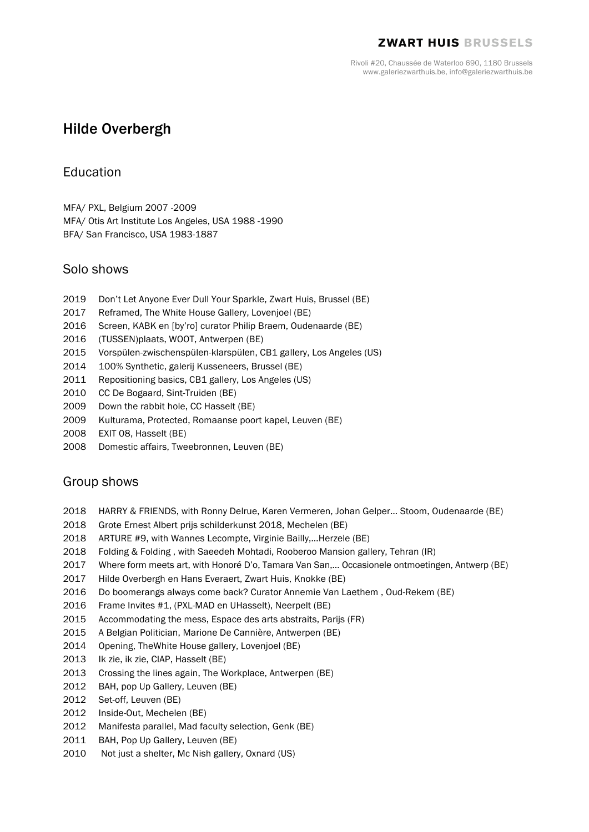#### **ZWART HUIS BRUSSELS**

Rivoli #20, Chaussée de Waterloo 690, 1180 Brussels www.galeriezwarthuis.be, info@galeriezwarthuis.be

# Hilde Overbergh

## Education

MFA/ PXL, Belgium 2007 -2009

MFA/ Otis Art Institute Los Angeles, USA 1988 -1990 BFA/ San Francisco, USA 1983-1887

## Solo shows

- 2019 Don't Let Anyone Ever Dull Your Sparkle, Zwart Huis, Brussel (BE)
- 2017 Reframed, The White House Gallery, Lovenjoel (BE)
- 2016 Screen, KABK en [by'ro] curator Philip Braem, Oudenaarde (BE)
- 2016 (TUSSEN)plaats, WOOT, Antwerpen (BE)
- 2015 Vorspülen-zwischenspülen-klarspülen, CB1 gallery, Los Angeles (US)
- 2014 100% Synthetic, galerij Kusseneers, Brussel (BE)
- 2011 Repositioning basics, CB1 gallery, Los Angeles (US)
- 2010 CC De Bogaard, Sint-Truiden (BE)
- 2009 Down the rabbit hole, CC Hasselt (BE)
- 2009 Kulturama, Protected, Romaanse poort kapel, Leuven (BE)
- 2008 EXIT 08, Hasselt (BE)
- 2008 Domestic affairs, Tweebronnen, Leuven (BE)

## Group shows

- 2018 HARRY & FRIENDS, with Ronny Delrue, Karen Vermeren, Johan Gelper… Stoom, Oudenaarde (BE)
- 2018 Grote Ernest Albert prijs schilderkunst 2018, Mechelen (BE)
- 2018 ARTURE #9, with Wannes Lecompte, Virginie Bailly,…Herzele (BE)
- 2018 Folding & Folding , with Saeedeh Mohtadi, Rooberoo Mansion gallery, Tehran (IR)
- 2017 Where form meets art, with Honoré D'o, Tamara Van San,… Occasionele ontmoetingen, Antwerp (BE)
- 2017 Hilde Overbergh en Hans Everaert, Zwart Huis, Knokke (BE)
- 2016 Do boomerangs always come back? Curator Annemie Van Laethem , Oud-Rekem (BE)
- 2016 Frame Invites #1, (PXL-MAD en UHasselt), Neerpelt (BE)
- 2015 Accommodating the mess, Espace des arts abstraits, Parijs (FR)
- 2015 A Belgian Politician, Marione De Cannière, Antwerpen (BE)
- 2014 Opening, TheWhite House gallery, Lovenjoel (BE)
- 2013 Ik zie, ik zie, CIAP, Hasselt (BE)
- 2013 Crossing the lines again, The Workplace, Antwerpen (BE)
- 2012 BAH, pop Up Gallery, Leuven (BE)
- 2012 Set-off, Leuven (BE)
- 2012 Inside-Out, Mechelen (BE)
- 2012 Manifesta parallel, Mad faculty selection, Genk (BE)
- 2011 BAH, Pop Up Gallery, Leuven (BE)
- 2010 Not just a shelter, Mc Nish gallery, Oxnard (US)